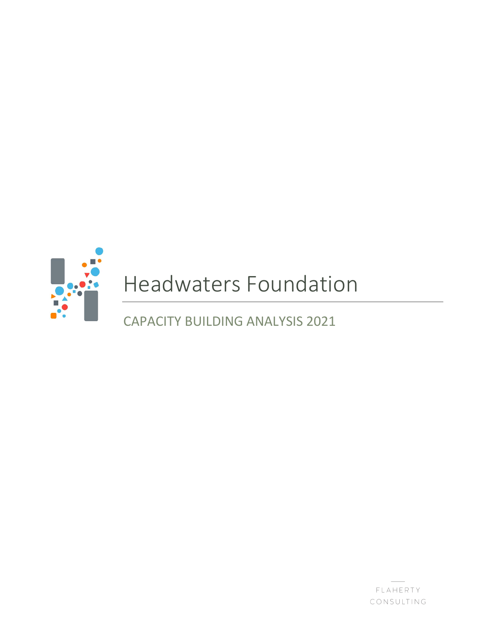

# Headwaters Foundation

CAPACITY BUILDING ANALYSIS 2021

FLAHERTY CONSULTING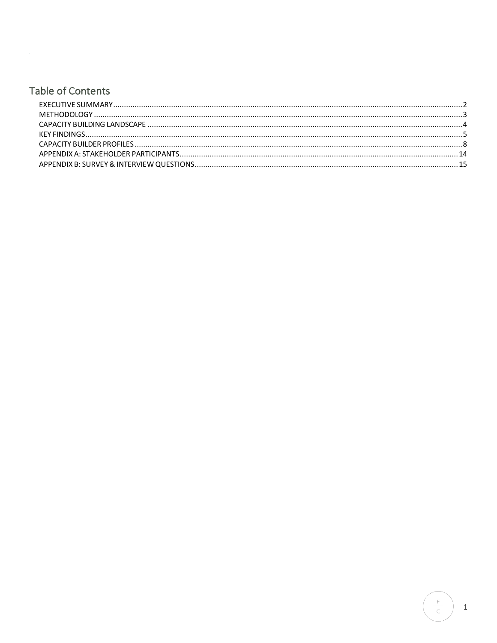# **Table of Contents**

 $\frac{F}{C}$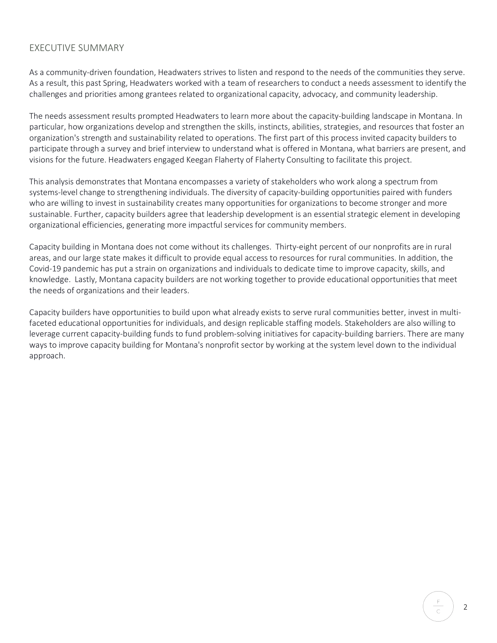# EXECUTIVE SUMMARY

As a community-driven foundation, Headwaters strives to listen and respond to the needs of the communities they serve. As a result, this past Spring, Headwaters worked with a team of researchers to conduct a needs assessment to identify the challenges and priorities among grantees related to organizational capacity, advocacy, and community leadership.

The needs assessment results prompted Headwaters to learn more about the capacity-building landscape in Montana. In particular, how organizations develop and strengthen the skills, instincts, abilities, strategies, and resources that foster an organization's strength and sustainability related to operations. The first part of this process invited capacity builders to participate through a survey and brief interview to understand what is offered in Montana, what barriers are present, and visions for the future. Headwaters engaged Keegan Flaherty of Flaherty Consulting to facilitate this project.

This analysis demonstrates that Montana encompasses a variety of stakeholders who work along a spectrum from systems-level change to strengthening individuals. The diversity of capacity-building opportunities paired with funders who are willing to invest in sustainability creates many opportunities for organizations to become stronger and more sustainable. Further, capacity builders agree that leadership development is an essential strategic element in developing organizational efficiencies, generating more impactful services for community members.

Capacity building in Montana does not come without its challenges. Thirty-eight percent of our nonprofits are in rural areas, and our large state makes it difficult to provide equal access to resources for rural communities. In addition, the Covid-19 pandemic has put a strain on organizations and individuals to dedicate time to improve capacity, skills, and knowledge. Lastly, Montana capacity builders are not working together to provide educational opportunities that meet the needs of organizations and their leaders.

Capacity builders have opportunities to build upon what already exists to serve rural communities better, invest in multifaceted educational opportunities for individuals, and design replicable staffing models. Stakeholders are also willing to leverage current capacity-building funds to fund problem-solving initiatives for capacity-building barriers. There are many ways to improve capacity building for Montana's nonprofit sector by working at the system level down to the individual approach.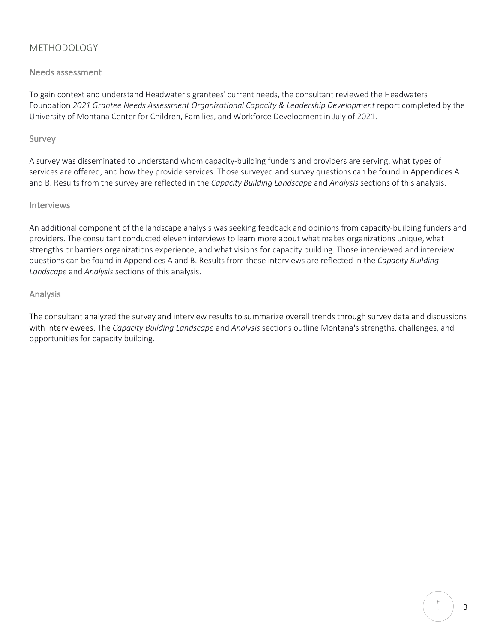# METHODOLOGY

# Needs assessment

To gain context and understand Headwater's grantees' current needs, the consultant reviewed the Headwaters Foundation *2021 Grantee Needs Assessment Organizational Capacity & Leadership Development* report completed by the University of Montana Center for Children, Families, and Workforce Development in July of 2021.

# Survey

A survey was disseminated to understand whom capacity-building funders and providers are serving, what types of services are offered, and how they provide services. Those surveyed and survey questions can be found in Appendices A and B. Results from the survey are reflected in the *Capacity Building Landscape* and *Analysis* sections of this analysis.

# Interviews

An additional component of the landscape analysis was seeking feedback and opinions from capacity-building funders and providers. The consultant conducted eleven interviews to learn more about what makes organizations unique, what strengths or barriers organizations experience, and what visions for capacity building. Those interviewed and interview questions can be found in Appendices A and B. Results from these interviews are reflected in the *Capacity Building Landscape* and *Analysis* sections of this analysis.

# Analysis

The consultant analyzed the survey and interview results to summarize overall trends through survey data and discussions with interviewees. The *Capacity Building Landscape* and *Analysis* sections outline Montana's strengths, challenges, and opportunities for capacity building.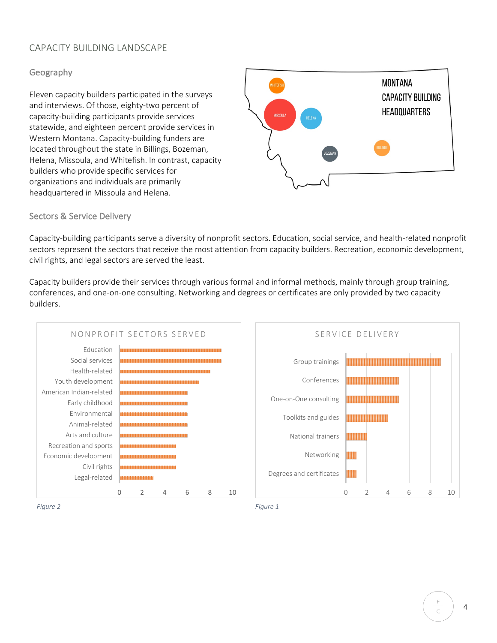# CAPACITY BUILDING LANDSCAPE

# Geography

Eleven capacity builders participated in the surveys and interviews. Of those, eighty-two percent of capacity-building participants provide services statewide, and eighteen percent provide services in Western Montana. Capacity-building funders are located throughout the state in Billings, Bozeman, Helena, Missoula, and Whitefish. In contrast, capacity builders who provide specific services for organizations and individuals are primarily headquartered in Missoula and Helena.



# Sectors & Service Delivery

Capacity-building participants serve a diversity of nonprofit sectors. Education, social service, and health-related nonprofit sectors represent the sectors that receive the most attention from capacity builders. Recreation, economic development, civil rights, and legal sectors are served the least.

Capacity builders provide their services through various formal and informal methods, mainly through group training, conferences, and one-on-one consulting. Networking and degrees or certificates are only provided by two capacity builders.



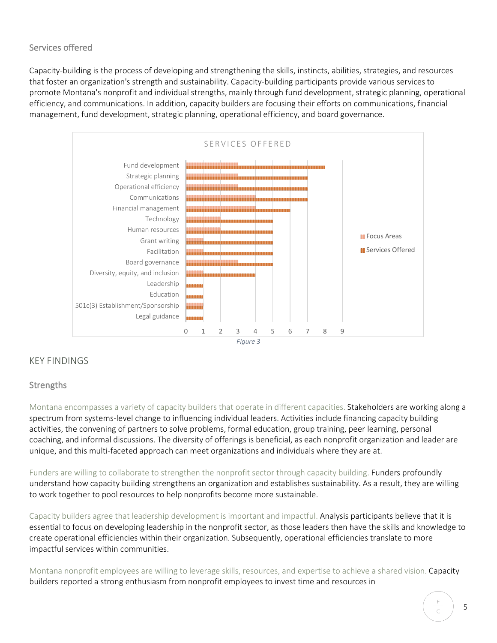# Services offered

Capacity-building is the process of developing and strengthening the skills, instincts, abilities, strategies, and resources that foster an organization's strength and sustainability. Capacity-building participants provide various services to promote Montana's nonprofit and individual strengths, mainly through fund development, strategic planning, operational efficiency, and communications. In addition, capacity builders are focusing their efforts on communications, financial management, fund development, strategic planning, operational efficiency, and board governance.



# KEY FINDINGS

# **Strengths**

Montana encompasses a variety of capacity builders that operate in different capacities. Stakeholders are working along a spectrum from systems-level change to influencing individual leaders. Activities include financing capacity building activities, the convening of partners to solve problems, formal education, group training, peer learning, personal coaching, and informal discussions. The diversity of offerings is beneficial, as each nonprofit organization and leader are unique, and this multi-faceted approach can meet organizations and individuals where they are at.

Funders are willing to collaborate to strengthen the nonprofit sector through capacity building. Funders profoundly understand how capacity building strengthens an organization and establishes sustainability. As a result, they are willing to work together to pool resources to help nonprofits become more sustainable.

Capacity builders agree that leadership development is important and impactful. Analysis participants believe that it is essential to focus on developing leadership in the nonprofit sector, as those leaders then have the skills and knowledge to create operational efficiencies within their organization. Subsequently, operational efficiencies translate to more impactful services within communities.

Montana nonprofit employees are willing to leverage skills, resources, and expertise to achieve a shared vision. Capacity builders reported a strong enthusiasm from nonprofit employees to invest time and resources in

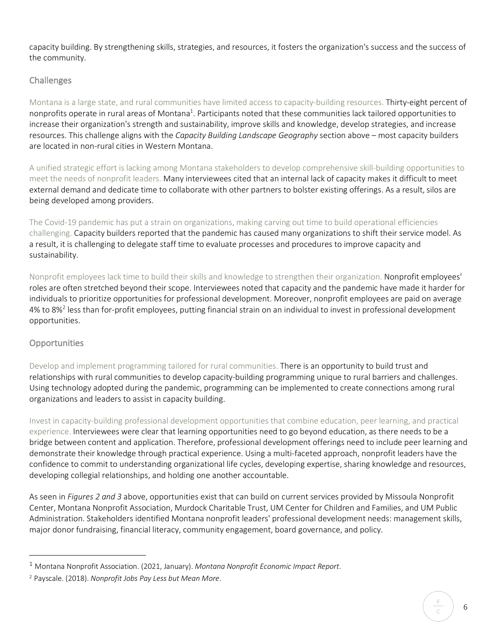capacity building. By strengthening skills, strategies, and resources, it fosters the organization's success and the success of the community.

# **Challenges**

Montana is a large state, and rural communities have limited access to capacity-building resources. Thirty-eight percent of nonprofits operate in rural areas of Montana<sup>1</sup>. Participants noted that these communities lack tailored opportunities to increase their organization's strength and sustainability, improve skills and knowledge, develop strategies, and increase resources. This challenge aligns with the *Capacity Building Landscape Geography* section above – most capacity builders are located in non-rural cities in Western Montana.

A unified strategic effort is lacking among Montana stakeholders to develop comprehensive skill-building opportunities to meet the needs of nonprofit leaders. Many interviewees cited that an internal lack of capacity makes it difficult to meet external demand and dedicate time to collaborate with other partners to bolster existing offerings. As a result, silos are being developed among providers.

The Covid-19 pandemic has put a strain on organizations, making carving out time to build operational efficiencies challenging. Capacity builders reported that the pandemic has caused many organizations to shift their service model. As a result, it is challenging to delegate staff time to evaluate processes and procedures to improve capacity and sustainability.

Nonprofit employees lack time to build their skills and knowledge to strengthen their organization. Nonprofit employees' roles are often stretched beyond their scope. Interviewees noted that capacity and the pandemic have made it harder for individuals to prioritize opportunities for professional development. Moreover, nonprofit employees are paid on average 4% to 8%<sup>2</sup> less than for-profit employees, putting financial strain on an individual to invest in professional development opportunities.

# **Opportunities**

 $\overline{a}$ 

Develop and implement programming tailored for rural communities. There is an opportunity to build trust and relationships with rural communities to develop capacity-building programming unique to rural barriers and challenges. Using technology adopted during the pandemic, programming can be implemented to create connections among rural organizations and leaders to assist in capacity building.

Invest in capacity-building professional development opportunities that combine education, peer learning, and practical experience. Interviewees were clear that learning opportunities need to go beyond education, as there needs to be a bridge between content and application. Therefore, professional development offerings need to include peer learning and demonstrate their knowledge through practical experience. Using a multi-faceted approach, nonprofit leaders have the confidence to commit to understanding organizational life cycles, developing expertise, sharing knowledge and resources, developing collegial relationships, and holding one another accountable.

As seen in *Figures 2 and 3* above, opportunities exist that can build on current services provided by Missoula Nonprofit Center, Montana Nonprofit Association, Murdock Charitable Trust, UM Center for Children and Families, and UM Public Administration. Stakeholders identified Montana nonprofit leaders' professional development needs: management skills, major donor fundraising, financial literacy, community engagement, board governance, and policy.

<sup>1</sup> Montana Nonprofit Association. (2021, January). *Montana Nonprofit Economic Impact Report*.

<sup>2</sup> Payscale. (2018). *Nonprofit Jobs Pay Less but Mean More*.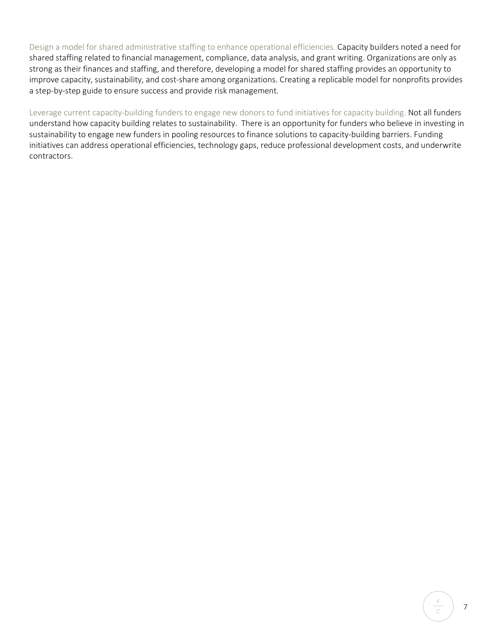Design a model for shared administrative staffing to enhance operational efficiencies. Capacity builders noted a need for shared staffing related to financial management, compliance, data analysis, and grant writing. Organizations are only as strong as their finances and staffing, and therefore, developing a model for shared staffing provides an opportunity to improve capacity, sustainability, and cost-share among organizations. Creating a replicable model for nonprofits provides a step-by-step guide to ensure success and provide risk management.

Leverage current capacity-building funders to engage new donors to fund initiatives for capacity building. Not all funders understand how capacity building relates to sustainability. There is an opportunity for funders who believe in investing in sustainability to engage new funders in pooling resources to finance solutions to capacity-building barriers. Funding initiatives can address operational efficiencies, technology gaps, reduce professional development costs, and underwrite contractors.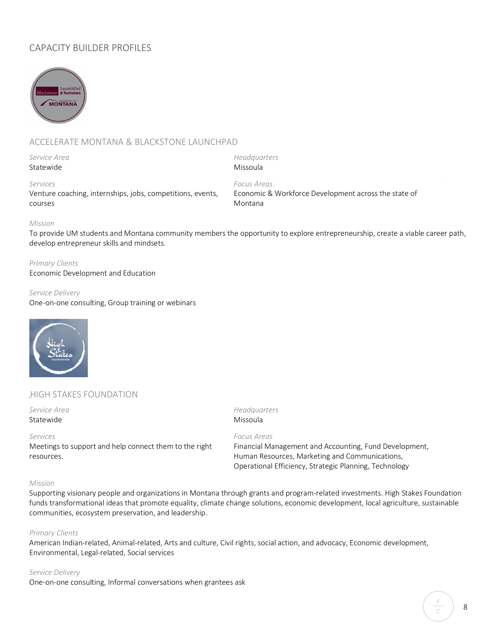# CAPACITY BUILDER PROFILES



# ACCELERATE MONTANA & BLACKSTONE LAUNCHPAD

*Service Area* Statewide

*Headquarters*  Missoula

*Focus Areas*

# *Services*

Venture coaching, internships, jobs, competitions, events, courses

Economic & Workforce Development across the state of Montana

# *Mission*

To provide UM students and Montana community members the opportunity to explore entrepreneurship, create a viable career path, develop entrepreneur skills and mindsets.

#### *Primary Clients*

Economic Development and Education

#### *Service Delivery*

One-on-one consulting, Group training or webinars



# HIGH STAKES FOUNDATION

*Service Area* Statewide

#### *Services*

Meetings to support and help connect them to the right resources.

# *Headquarters* Missoula

*Focus Areas*

Financial Management and Accounting, Fund Development, Human Resources, Marketing and Communications, Operational Efficiency, Strategic Planning, Technology

### *Mission*

Supporting visionary people and organizations in Montana through grants and program-related investments. High Stakes Foundation funds transformational ideas that promote equality, climate change solutions, economic development, local agriculture, sustainable communities, ecosystem preservation, and leadership.

#### *Primary Clients*

American Indian-related, Animal-related, Arts and culture, Civil rights, social action, and advocacy, Economic development, Environmental, Legal-related, Social services

#### *Service Delivery*

One-on-one consulting, Informal conversations when grantees ask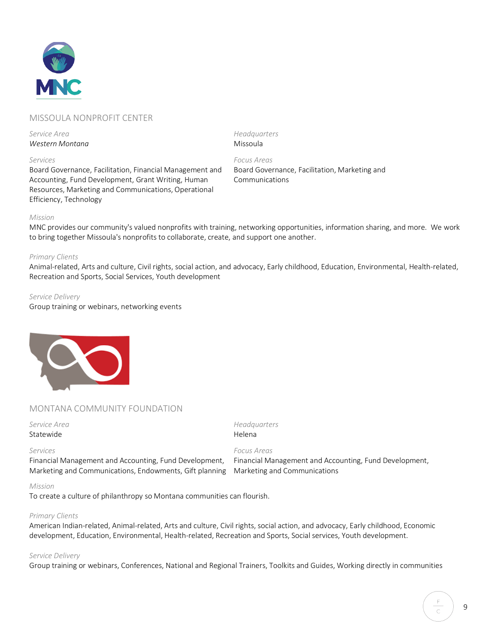

# MISSOULA NONPROFIT CENTER

*Service Area Western Montana*

#### *Services*

Board Governance, Facilitation, Financial Management and Accounting, Fund Development, Grant Writing, Human Resources, Marketing and Communications, Operational Efficiency, Technology

*Headquarters* Missoula

*Focus Areas* Board Governance, Facilitation, Marketing and Communications

#### *Mission*

MNC provides our community's valued nonprofits with training, networking opportunities, information sharing, and more. We work to bring together Missoula's nonprofits to collaborate, create, and support one another.

#### *Primary Clients*

Animal-related, Arts and culture, Civil rights, social action, and advocacy, Early childhood, Education, Environmental, Health-related, Recreation and Sports, Social Services, Youth development

#### *Service Delivery*

Group training or webinars, networking events



# MONTANA COMMUNITY FOUNDATION

#### *Service Area* Statewide

*Headquarters* Helena

*Focus Areas*

#### *Services*

Financial Management and Accounting, Fund Development, Marketing and Communications, Endowments, Gift planning Financial Management and Accounting, Fund Development, Marketing and Communications

#### *Mission*

To create a culture of philanthropy so Montana communities can flourish.

#### *Primary Clients*

American Indian-related, Animal-related, Arts and culture, Civil rights, social action, and advocacy, Early childhood, Economic development, Education, Environmental, Health-related, Recreation and Sports, Social services, Youth development.

#### *Service Delivery*

Group training or webinars, Conferences, National and Regional Trainers, Toolkits and Guides, Working directly in communities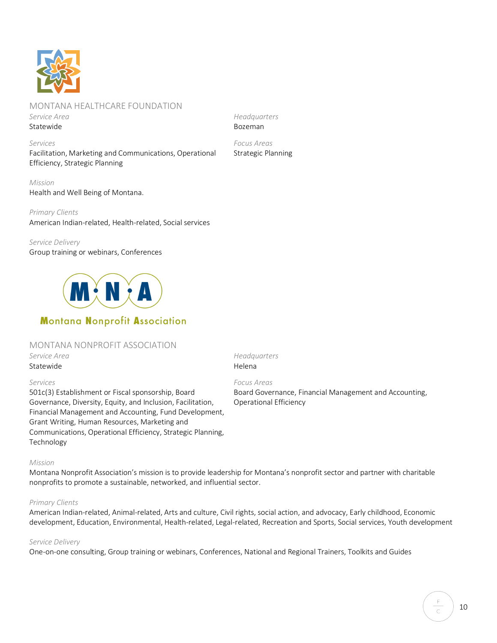

# MONTANA HEALTHCARE FOUNDATION

*Service Area* Statewide

*Services* Facilitation, Marketing and Communications, Operational Efficiency, Strategic Planning

*Mission* Health and Well Being of Montana.

*Primary Clients* American Indian-related, Health-related, Social services

*Service Delivery* Group training or webinars, Conferences



# **Montana Nonprofit Association**

# MONTANA NONPROFIT ASSOCIATION

*Service Area* Statewide

# *Services*

501c(3) Establishment or Fiscal sponsorship, Board Governance, Diversity, Equity, and Inclusion, Facilitation, Financial Management and Accounting, Fund Development, Grant Writing, Human Resources, Marketing and Communications, Operational Efficiency, Strategic Planning, Technology

*Headquarters* Helena

# *Focus Areas*

Board Governance, Financial Management and Accounting, Operational Efficiency

# *Mission*

Montana Nonprofit Association's mission is to provide leadership for Montana's nonprofit sector and partner with charitable nonprofits to promote a sustainable, networked, and influential sector.

# *Primary Clients*

American Indian-related, Animal-related, Arts and culture, Civil rights, social action, and advocacy, Early childhood, Economic development, Education, Environmental, Health-related, Legal-related, Recreation and Sports, Social services, Youth development

# *Service Delivery*

One-on-one consulting, Group training or webinars, Conferences, National and Regional Trainers, Toolkits and Guides

*Headquarters* Bozeman

*Focus Areas* Strategic Planning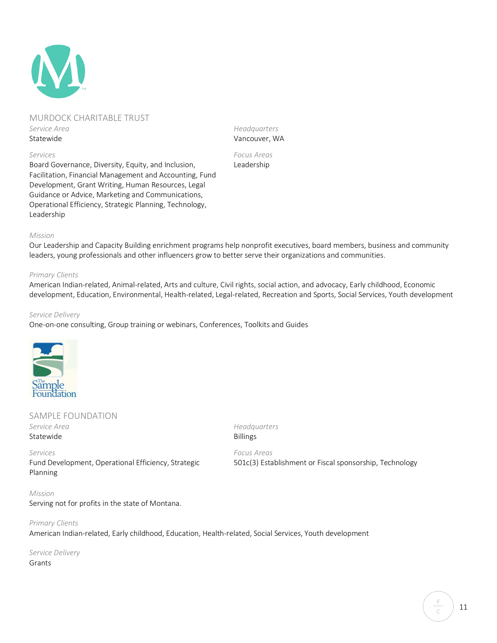# MURDOCK CHARITABLE TRUST *Service Area* Statewide

*Services*

Board Governance, Diversity, Equity, and Inclusion, Facilitation, Financial Management and Accounting, Fund Development, Grant Writing, Human Resources, Legal Guidance or Advice, Marketing and Communications, Operational Efficiency, Strategic Planning, Technology, Leadership

*Headquarters* Vancouver, WA

*Focus Areas* Leadership

#### *Mission*

Our Leadership and Capacity Building enrichment programs help nonprofit executives, board members, business and community leaders, young professionals and other influencers grow to better serve their organizations and communities.

#### *Primary Clients*

American Indian-related, Animal-related, Arts and culture, Civil rights, social action, and advocacy, Early childhood, Economic development, Education, Environmental, Health-related, Legal-related, Recreation and Sports, Social Services, Youth development

> *Headquarters* Billings

#### *Service Delivery*

One-on-one consulting, Group training or webinars, Conferences, Toolkits and Guides



# SAMPLE FOUNDATION *Service Area* Statewide

#### *Services*

Fund Development, Operational Efficiency, Strategic Planning

*Focus Areas* 501c(3) Establishment or Fiscal sponsorship, Technology

*Mission* Serving not for profits in the state of Montana.

*Primary Clients* American Indian-related, Early childhood, Education, Health-related, Social Services, Youth development

*Service Delivery* Grants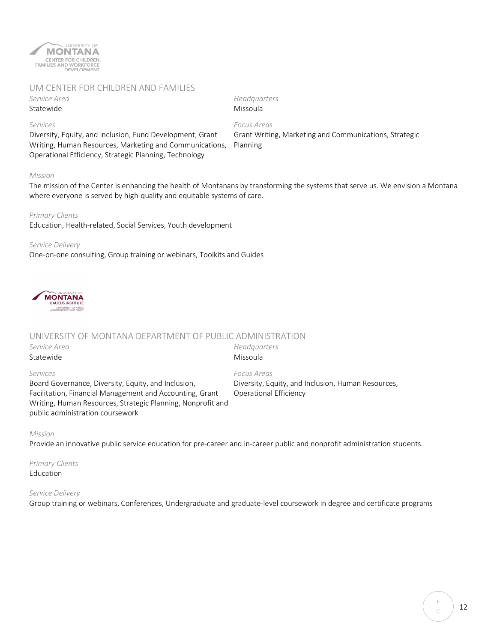

# UM CENTER FOR CHILDREN AND FAMILIES

*Service Area* Statewide

*Services*

*Headquarters* Missoula

Diversity, Equity, and Inclusion, Fund Development, Grant Writing, Human Resources, Marketing and Communications, Operational Efficiency, Strategic Planning, Technology

*Focus Areas* Grant Writing, Marketing and Communications, Strategic Planning

#### *Mission*

The mission of the Center is enhancing the health of Montanans by transforming the systems that serve us. We envision a Montana where everyone is served by high-quality and equitable systems of care.

> *Headquarters* Missoula

#### *Primary Clients*

Education, Health-related, Social Services, Youth development

#### *Service Delivery*

One-on-one consulting, Group training or webinars, Toolkits and Guides



# UNIVERSITY OF MONTANA DEPARTMENT OF PUBLIC ADMINISTRATION

*Service Area* Statewide

#### *Services*

Board Governance, Diversity, Equity, and Inclusion, Facilitation, Financial Management and Accounting, Grant Writing, Human Resources, Strategic Planning, Nonprofit and public administration coursework

*Focus Areas* Diversity, Equity, and Inclusion, Human Resources, Operational Efficiency

#### *Mission*

Provide an innovative public service education for pre-career and in-career public and nonprofit administration students.

*Primary Clients* Education

#### *Service Delivery*

Group training or webinars, Conferences, Undergraduate and graduate-level coursework in degree and certificate programs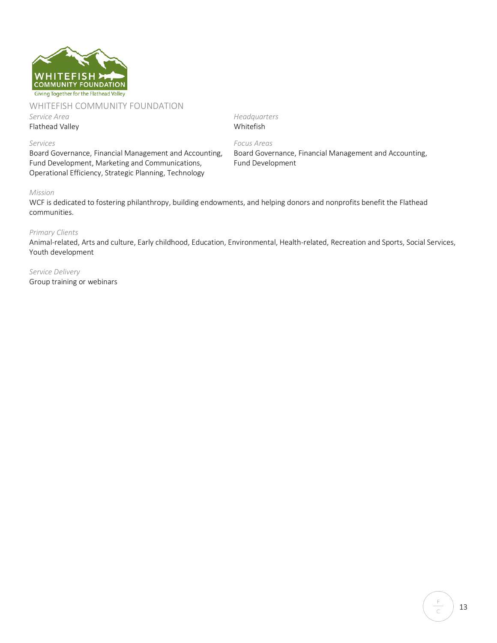

#### WHITEFISH COMMUNITY FOUNDATION

*Service Area*

Flathead Valley

*Headquarters* Whitefish

*Focus Areas*

Fund Development

Board Governance, Financial Management and Accounting,

# *Services*

Board Governance, Financial Management and Accounting, Fund Development, Marketing and Communications, Operational Efficiency, Strategic Planning, Technology

#### *Mission*

WCF is dedicated to fostering philanthropy, building endowments, and helping donors and nonprofits benefit the Flathead communities.

#### *Primary Clients*

Animal-related, Arts and culture, Early childhood, Education, Environmental, Health-related, Recreation and Sports, Social Services, Youth development

*Service Delivery* Group training or webinars

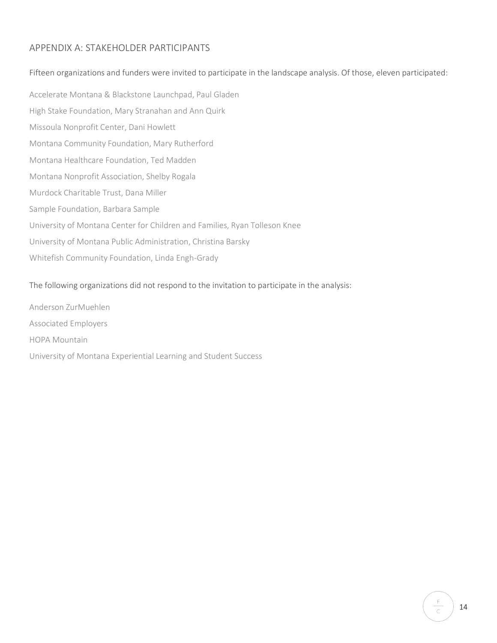# APPENDIX A: STAKEHOLDER PARTICIPANTS

# Fifteen organizations and funders were invited to participate in the landscape analysis. Of those, eleven participated:

Accelerate Montana & Blackstone Launchpad, Paul Gladen High Stake Foundation, Mary Stranahan and Ann Quirk Missoula Nonprofit Center, Dani Howlett Montana Community Foundation, Mary Rutherford Montana Healthcare Foundation, Ted Madden Montana Nonprofit Association, Shelby Rogala Murdock Charitable Trust, Dana Miller Sample Foundation, Barbara Sample University of Montana Center for Children and Families, Ryan Tolleson Knee University of Montana Public Administration, Christina Barsky Whitefish Community Foundation, Linda Engh-Grady

# The following organizations did not respond to the invitation to participate in the analysis:

Anderson ZurMuehlen Associated Employers HOPA Mountain University of Montana Experiential Learning and Student Success